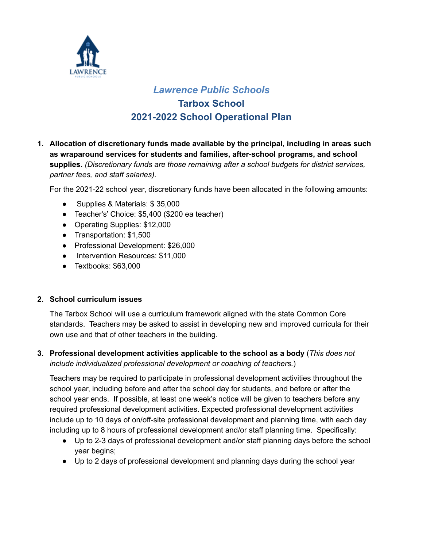

# *Lawrence Public Schools* **Tarbox School 2021-2022 School Operational Plan**

**1. Allocation of discretionary funds made available by the principal, including in areas such as wraparound services for students and families, after-school programs, and school supplies.** *(Discretionary funds are those remaining after a school budgets for district services, partner fees, and staff salaries).*

For the 2021-22 school year, discretionary funds have been allocated in the following amounts:

- Supplies & Materials: \$35,000
- Teacher's' Choice: \$5,400 (\$200 ea teacher)
- Operating Supplies: \$12,000
- Transportation: \$1,500
- Professional Development: \$26,000
- Intervention Resources: \$11,000
- Textbooks: \$63,000

## **2. School curriculum issues**

The Tarbox School will use a curriculum framework aligned with the state Common Core standards. Teachers may be asked to assist in developing new and improved curricula for their own use and that of other teachers in the building.

**3. Professional development activities applicable to the school as a body** (*This does not include individualized professional development or coaching of teachers.*)

Teachers may be required to participate in professional development activities throughout the school year, including before and after the school day for students, and before or after the school year ends. If possible, at least one week's notice will be given to teachers before any required professional development activities. Expected professional development activities include up to 10 days of on/off-site professional development and planning time, with each day including up to 8 hours of professional development and/or staff planning time. Specifically:

- Up to 2-3 days of professional development and/or staff planning days before the school year begins;
- Up to 2 days of professional development and planning days during the school year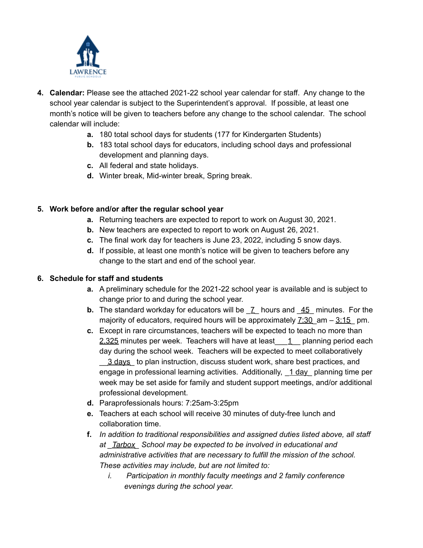

- **4. Calendar:** Please see the attached 2021-22 school year calendar for staff. Any change to the school year calendar is subject to the Superintendent's approval. If possible, at least one month's notice will be given to teachers before any change to the school calendar. The school calendar will include:
	- **a.** 180 total school days for students (177 for Kindergarten Students)
	- **b.** 183 total school days for educators, including school days and professional development and planning days.
	- **c.** All federal and state holidays.
	- **d.** Winter break, Mid-winter break, Spring break.

# **5. Work before and/or after the regular school year**

- **a.** Returning teachers are expected to report to work on August 30, 2021.
- **b.** New teachers are expected to report to work on August 26, 2021.
- **c.** The final work day for teachers is June 23, 2022, including 5 snow days.
- **d.** If possible, at least one month's notice will be given to teachers before any change to the start and end of the school year.

## **6. Schedule for staff and students**

- **a.** A preliminary schedule for the 2021-22 school year is available and is subject to change prior to and during the school year.
- **b.** The standard workday for educators will be  $\bar{Z}$  hours and  $\bar{45}$  minutes. For the majority of educators, required hours will be approximately  $7:30$  am –  $3:15$  pm.
- **c.** Except in rare circumstances, teachers will be expected to teach no more than 2,325 minutes per week. Teachers will have at least  $\quad 1$  planning period each day during the school week. Teachers will be expected to meet collaboratively \_\_3 days\_ to plan instruction, discuss student work, share best practices, and engage in professional learning activities. Additionally,  $1 \text{ day}$  planning time per week may be set aside for family and student support meetings, and/or additional professional development.
- **d.** Paraprofessionals hours: 7:25am-3:25pm
- **e.** Teachers at each school will receive 30 minutes of duty-free lunch and collaboration time.
- **f.** *In addition to traditional responsibilities and assigned duties listed above, all staff at \_Tarbox\_ School may be expected to be involved in educational and administrative activities that are necessary to fulfill the mission of the school. These activities may include, but are not limited to:*
	- *i. Participation in monthly faculty meetings and 2 family conference evenings during the school year.*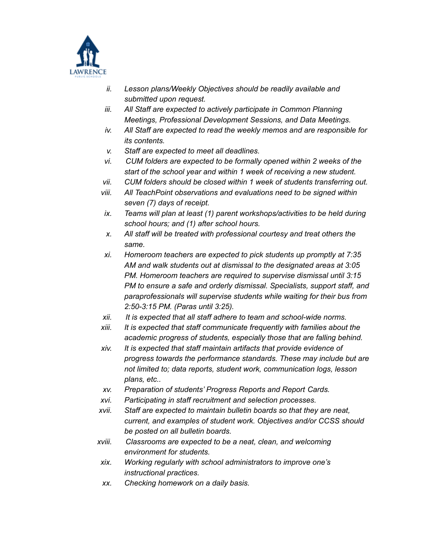

- *ii. Lesson plans/Weekly Objectives should be readily available and submitted upon request.*
- *iii. All Staff are expected to actively participate in Common Planning Meetings, Professional Development Sessions, and Data Meetings.*
- *iv. All Staff are expected to read the weekly memos and are responsible for its contents.*
- *v. Staff are expected to meet all deadlines.*
- *vi. CUM folders are expected to be formally opened within 2 weeks of the start of the school year and within 1 week of receiving a new student.*
- *vii. CUM folders should be closed within 1 week of students transferring out.*
- *viii. All TeachPoint observations and evaluations need to be signed within seven (7) days of receipt.*
- *ix. Teams will plan at least (1) parent workshops/activities to be held during school hours; and (1) after school hours.*
- *x. All staff will be treated with professional courtesy and treat others the same.*
- *xi. Homeroom teachers are expected to pick students up promptly at 7:35 AM and walk students out at dismissal to the designated areas at 3:05 PM. Homeroom teachers are required to supervise dismissal until 3:15 PM to ensure a safe and orderly dismissal. Specialists, support staff, and paraprofessionals will supervise students while waiting for their bus from 2:50-3:15 PM. (Paras until 3:25).*
- *xii. It is expected that all staff adhere to team and school-wide norms.*
- *xiii. It is expected that staff communicate frequently with families about the academic progress of students, especially those that are falling behind.*
- *xiv. It is expected that staff maintain artifacts that provide evidence of progress towards the performance standards. These may include but are not limited to; data reports, student work, communication logs, lesson plans, etc..*
- *xv. Preparation of students' Progress Reports and Report Cards.*
- *xvi. Participating in staff recruitment and selection processes.*
- *xvii. Staff are expected to maintain bulletin boards so that they are neat, current, and examples of student work. Objectives and/or CCSS should be posted on all bulletin boards.*
- *xviii. Classrooms are expected to be a neat, clean, and welcoming environment for students.*
- *xix. Working regularly with school administrators to improve one's instructional practices.*
- *xx. Checking homework on a daily basis.*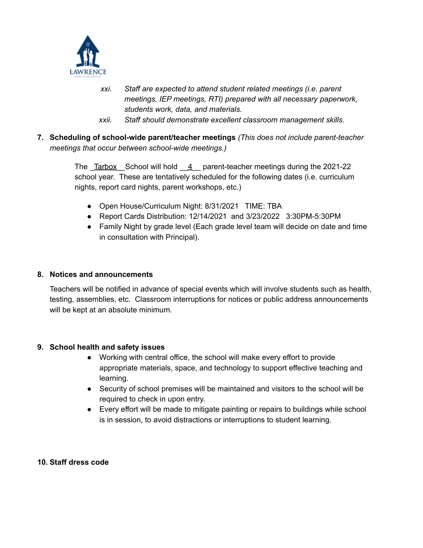

- *xxi. Staff are expected to attend student related meetings (i.e. parent meetings, IEP meetings, RTI) prepared with all necessary paperwork, students work, data, and materials.*
- *xxii. Staff should demonstrate excellent classroom management skills.*
- **7. Scheduling of school-wide parent/teacher meetings** *(This does not include parent-teacher meetings that occur between school-wide meetings.)*

The  $T$ arbox School will hold  $4$  parent-teacher meetings during the 2021-22 school year. These are tentatively scheduled for the following dates (i.e. curriculum nights, report card nights, parent workshops, etc.)

- Open House/Curriculum Night: 8/31/2021 TIME: TBA
- Report Cards Distribution: 12/14/2021 and 3/23/2022 3:30PM-5:30PM
- Family Night by grade level (Each grade level team will decide on date and time in consultation with Principal).

### **8. Notices and announcements**

Teachers will be notified in advance of special events which will involve students such as health, testing, assemblies, etc. Classroom interruptions for notices or public address announcements will be kept at an absolute minimum.

## **9. School health and safety issues**

- Working with central office, the school will make every effort to provide appropriate materials, space, and technology to support effective teaching and learning.
- Security of school premises will be maintained and visitors to the school will be required to check in upon entry.
- Every effort will be made to mitigate painting or repairs to buildings while school is in session, to avoid distractions or interruptions to student learning.

#### **10. Staff dress code**